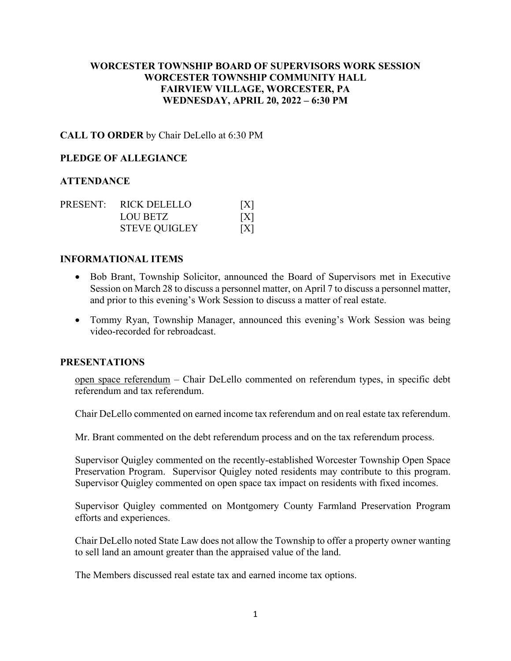# **WORCESTER TOWNSHIP BOARD OF SUPERVISORS WORK SESSION WORCESTER TOWNSHIP COMMUNITY HALL FAIRVIEW VILLAGE, WORCESTER, PA WEDNESDAY, APRIL 20, 2022 – 6:30 PM**

## **CALL TO ORDER** by Chair DeLello at 6:30 PM

## **PLEDGE OF ALLEGIANCE**

## **ATTENDANCE**

|  | PRESENT: RICK DELELLO | [X] |
|--|-----------------------|-----|
|  | LOU BETZ              | [X] |
|  | <b>STEVE QUIGLEY</b>  | [X] |

#### **INFORMATIONAL ITEMS**

- Bob Brant, Township Solicitor, announced the Board of Supervisors met in Executive Session on March 28 to discuss a personnel matter, on April 7 to discuss a personnel matter, and prior to this evening's Work Session to discuss a matter of real estate.
- Tommy Ryan, Township Manager, announced this evening's Work Session was being video-recorded for rebroadcast.

#### **PRESENTATIONS**

open space referendum – Chair DeLello commented on referendum types, in specific debt referendum and tax referendum.

Chair DeLello commented on earned income tax referendum and on real estate tax referendum.

Mr. Brant commented on the debt referendum process and on the tax referendum process.

Supervisor Quigley commented on the recently-established Worcester Township Open Space Preservation Program. Supervisor Quigley noted residents may contribute to this program. Supervisor Quigley commented on open space tax impact on residents with fixed incomes.

Supervisor Quigley commented on Montgomery County Farmland Preservation Program efforts and experiences.

Chair DeLello noted State Law does not allow the Township to offer a property owner wanting to sell land an amount greater than the appraised value of the land.

The Members discussed real estate tax and earned income tax options.